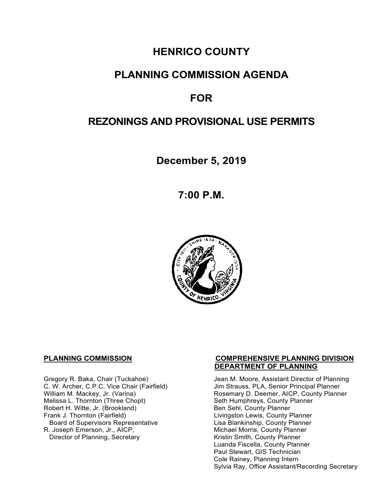# **HENRICO COUNTY**

## **PLANNING COMMISSION AGENDA**

# **FOR**

## **REZONINGS AND PROVISIONAL USE PERMITS**

**December 5, 2019**

**7:00 P.M.**



Melissa L. Thornton (Three Chopt) Seth Humphreys, County F<br>
Robert H. Witte, Jr. (Brookland) Seth Sen Sehl, County Planner Robert H. Witte, Jr. (Brookland)<br>Frank J. Thornton (Fairfield) Board of Supervisors Representative Lisa Blankinship, County Planner<br>R. Joseph Emerson, Jr., AICP, Michael Morris, County Planner Director of Planning, Secretary

#### **PLANNING COMMISSION COMPREHENSIVE PLANNING DIVISION DEPARTMENT OF PLANNING**

Gregory R. Baka, Chair (Tuckahoe) Jean M. Moore, Assistant Director of Planning<br>C. W. Archer, C.P.C. Vice Chair (Fairfield) Jim Strauss, PLA, Senior Principal Planner C. W. Archer, C.P.C. Vice Chair (Fairfield) Jim Strauss, PLA, Senior Principal Planner<br>William M. Mackey, Jr. (Varina) Sand Chair Rosemary D. Deemer, AICP, County Plann Rosemary D. Deemer, AICP, County Planner<br>Seth Humphreys, County Planner Livingston Lewis, County Planner Michael Morris, County Planner<br>Kristin Smith, County Planner Luanda Fiscella, County Planner Paul Stewart, GIS Technician Cole Rainey, Planning Intern Sylvia Ray, Office Assistant/Recording Secretary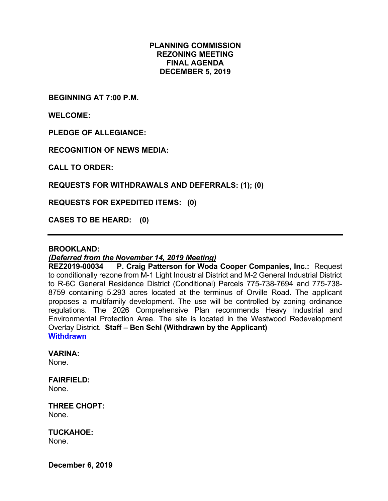## **PLANNING COMMISSION REZONING MEETING FINAL AGENDA DECEMBER 5, 2019**

**BEGINNING AT 7:00 P.M.**

**WELCOME:**

**PLEDGE OF ALLEGIANCE:**

**RECOGNITION OF NEWS MEDIA:**

**CALL TO ORDER:**

**REQUESTS FOR WITHDRAWALS AND DEFERRALS: (1); (0)**

**REQUESTS FOR EXPEDITED ITEMS: (0)**

**CASES TO BE HEARD: (0)**

### **BROOKLAND:**

## *(Deferred from the November 14, 2019 Meeting)*

**REZ2019-00034 P. Craig Patterson for Woda Cooper Companies, Inc.:** Request to conditionally rezone from M-1 Light Industrial District and M-2 General Industrial District to R-6C General Residence District (Conditional) Parcels 775-738-7694 and 775-738- 8759 containing 5.293 acres located at the terminus of Orville Road. The applicant proposes a multifamily development. The use will be controlled by zoning ordinance regulations. The 2026 Comprehensive Plan recommends Heavy Industrial and Environmental Protection Area. The site is located in the Westwood Redevelopment Overlay District. **Staff – Ben Sehl (Withdrawn by the Applicant) Withdrawn** 

#### **VARINA:**

None.

**FAIRFIELD:** None.

**THREE CHOPT:**  None.

**TUCKAHOE:** None.

**December 6, 2019**